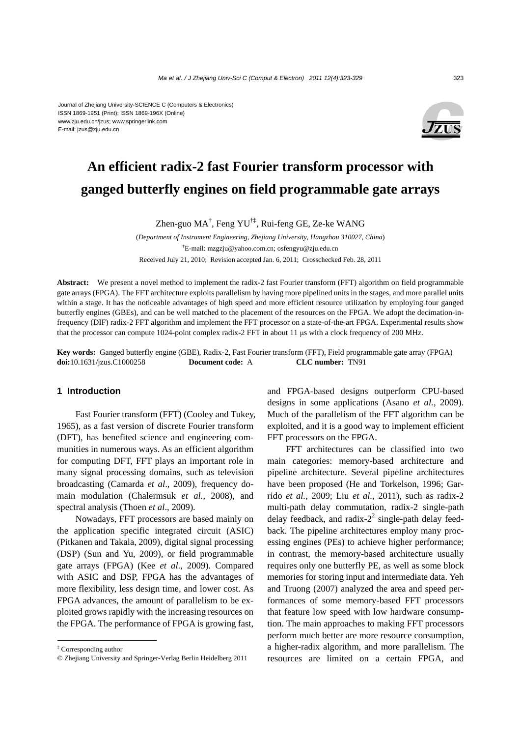#### Journal of Zhejiang University-SCIENCE C (Computers & Electronics) ISSN 1869-1951 (Print); ISSN 1869-196X (Online) www.zju.edu.cn/jzus; www.springerlink.com E-mail: jzus@zju.edu.cn



# **An efficient radix-2 fast Fourier transform processor with ganged butterfly engines on field programmable gate arrays**

Zhen-guo MA<sup>†</sup>, Feng YU<sup>†‡</sup>, Rui-feng GE, Ze-ke WANG

(*Department of Instrument Engineering, Zhejiang University, Hangzhou 310027, China*) † E-mail: mzgzju@yahoo.com.cn; osfengyu@zju.edu.cn Received July 21, 2010; Revision accepted Jan. 6, 2011; Crosschecked Feb. 28, 2011

**Abstract:** We present a novel method to implement the radix-2 fast Fourier transform (FFT) algorithm on field programmable gate arrays (FPGA). The FFT architecture exploits parallelism by having more pipelined units in the stages, and more parallel units within a stage. It has the noticeable advantages of high speed and more efficient resource utilization by employing four ganged butterfly engines (GBEs), and can be well matched to the placement of the resources on the FPGA. We adopt the decimation-infrequency (DIF) radix-2 FFT algorithm and implement the FFT processor on a state-of-the-art FPGA. Experimental results show that the processor can compute 1024-point complex radix-2 FFT in about 11 μs with a clock frequency of 200 MHz.

**Key words:** Ganged butterfly engine (GBE), Radix-2, Fast Fourier transform (FFT), Field programmable gate array (FPGA) **doi:**10.1631/jzus.C1000258 **Document code:** A **CLC number:** TN91

## **1 Introduction**

Fast Fourier transform (FFT) (Cooley and Tukey, 1965), as a fast version of discrete Fourier transform (DFT), has benefited science and engineering communities in numerous ways. As an efficient algorithm for computing DFT, FFT plays an important role in many signal processing domains, such as television broadcasting (Camarda *et al*., 2009), frequency domain modulation (Chalermsuk *et al.*, 2008), and spectral analysis (Thoen *et al*., 2009).

Nowadays, FFT processors are based mainly on the application specific integrated circuit (ASIC) (Pitkanen and Takala, 2009), digital signal processing (DSP) (Sun and Yu, 2009), or field programmable gate arrays (FPGA) (Kee *et al*., 2009). Compared with ASIC and DSP, FPGA has the advantages of more flexibility, less design time, and lower cost. As FPGA advances, the amount of parallelism to be exploited grows rapidly with the increasing resources on the FPGA. The performance of FPGA is growing fast,

and FPGA-based designs outperform CPU-based designs in some applications (Asano *et al.*, 2009). Much of the parallelism of the FFT algorithm can be exploited, and it is a good way to implement efficient FFT processors on the FPGA.

FFT architectures can be classified into two main categories: memory-based architecture and pipeline architecture. Several pipeline architectures have been proposed (He and Torkelson, 1996; Garrido *et al.*, 2009; Liu *et al.*, 2011), such as radix-2 multi-path delay commutation, radix-2 single-path delay feedback, and radix- $2^2$  single-path delay feedback. The pipeline architectures employ many processing engines (PEs) to achieve higher performance; in contrast, the memory-based architecture usually requires only one butterfly PE, as well as some block memories for storing input and intermediate data. Yeh and Truong (2007) analyzed the area and speed performances of some memory-based FFT processors that feature low speed with low hardware consumption. The main approaches to making FFT processors perform much better are more resource consumption, a higher-radix algorithm, and more parallelism. The resources are limited on a certain FPGA, and

<sup>‡</sup> Corresponding author

<sup>©</sup> Zhejiang University and Springer-Verlag Berlin Heidelberg 2011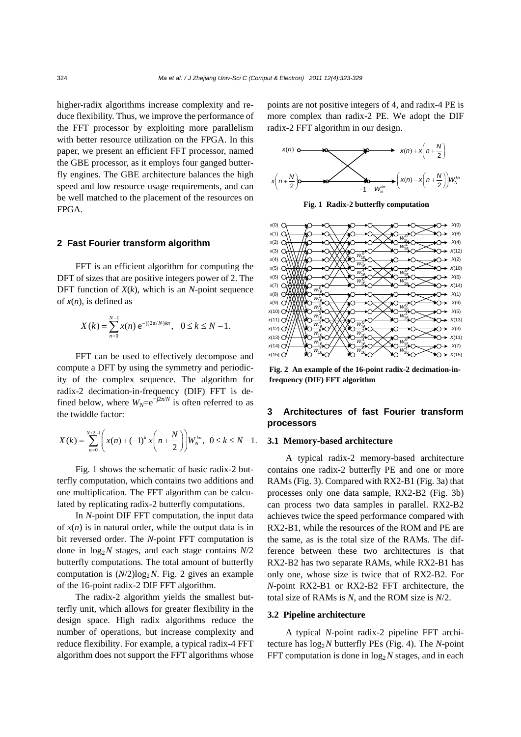higher-radix algorithms increase complexity and reduce flexibility. Thus, we improve the performance of the FFT processor by exploiting more parallelism with better resource utilization on the FPGA. In this paper, we present an efficient FFT processor, named the GBE processor, as it employs four ganged butterfly engines. The GBE architecture balances the high speed and low resource usage requirements, and can be well matched to the placement of the resources on FPGA.

## **2 Fast Fourier transform algorithm**

FFT is an efficient algorithm for computing the DFT of sizes that are positive integers power of 2. The DFT function of *X*(*k*), which is an *N*-point sequence of *x*(*n*), is defined as

$$
X(k) = \sum_{n=0}^{N-1} x(n) e^{-j(2\pi/N)kn}, \quad 0 \le k \le N-1.
$$

FFT can be used to effectively decompose and compute a DFT by using the symmetry and periodicity of the complex sequence. The algorithm for radix-2 decimation-in-frequency (DIF) FFT is defined below, where  $W_N = e^{-j2\pi/N}$  is often referred to as the twiddle factor:

$$
X(k) = \sum_{n=0}^{N/2-1} \left( x(n) + (-1)^k x \left( n + \frac{N}{2} \right) \right) W_N^{kn}, \ \ 0 \le k \le N-1.
$$

Fig. 1 shows the schematic of basic radix-2 butterfly computation, which contains two additions and one multiplication. The FFT algorithm can be calculated by replicating radix-2 butterfly computations.

In *N*-point DIF FFT computation, the input data of  $x(n)$  is in natural order, while the output data is in bit reversed order. The *N*-point FFT computation is done in  $log_2 N$  stages, and each stage contains  $N/2$ butterfly computations. The total amount of butterfly computation is  $(N/2) \log_2 N$ . Fig. 2 gives an example of the 16-point radix-2 DIF FFT algorithm.

The radix-2 algorithm yields the smallest butterfly unit, which allows for greater flexibility in the design space. High radix algorithms reduce the number of operations, but increase complexity and reduce flexibility. For example, a typical radix-4 FFT algorithm does not support the FFT algorithms whose

points are not positive integers of 4, and radix-4 PE is more complex than radix-2 PE. We adopt the DIF radix-2 FFT algorithm in our design.



**Fig. 1 Radix-2 butterfly computation**



**Fig. 2 An example of the 16-point radix-2 decimation-infrequency (DIF) FFT algorithm** 

# **3 Architectures of fast Fourier transform processors**

#### **3.1 Memory-based architecture**

A typical radix-2 memory-based architecture contains one radix-2 butterfly PE and one or more RAMs (Fig. 3). Compared with RX2-B1 (Fig. 3a) that processes only one data sample, RX2-B2 (Fig. 3b) can process two data samples in parallel. RX2-B2 achieves twice the speed performance compared with RX2-B1, while the resources of the ROM and PE are the same, as is the total size of the RAMs. The difference between these two architectures is that RX2-B2 has two separate RAMs, while RX2-B1 has only one, whose size is twice that of RX2-B2. For *N*-point RX2-B1 or RX2-B2 FFT architecture, the total size of RAMs is *N*, and the ROM size is *N*/2.

#### **3.2 Pipeline architecture**

A typical *N*-point radix-2 pipeline FFT architecture has log2*N* butterfly PEs (Fig. 4). The *N*-point FFT computation is done in  $log_2 N$  stages, and in each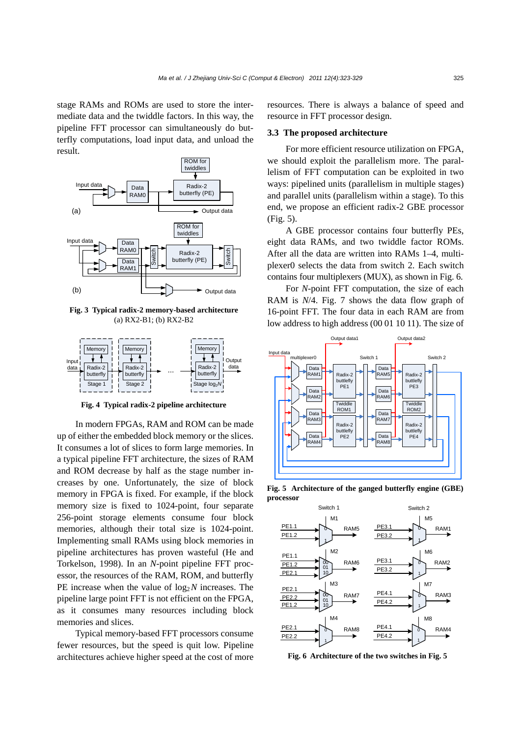stage RAMs and ROMs are used to store the intermediate data and the twiddle factors. In this way, the pipeline FFT processor can simultaneously do butterfly computations, load input data, and unload the result.



**Fig. 3 Typical radix-2 memory-based architecture**  (a) RX2-B1; (b) RX2-B2



**Fig. 4 Typical radix-2 pipeline architecture** 

In modern FPGAs, RAM and ROM can be made up of either the embedded block memory or the slices. It consumes a lot of slices to form large memories. In a typical pipeline FFT architecture, the sizes of RAM and ROM decrease by half as the stage number increases by one. Unfortunately, the size of block memory in FPGA is fixed. For example, if the block memory size is fixed to 1024-point, four separate 256-point storage elements consume four block memories, although their total size is 1024-point. Implementing small RAMs using block memories in pipeline architectures has proven wasteful (He and Torkelson, 1998). In an *N*-point pipeline FFT processor, the resources of the RAM, ROM, and butterfly PE increase when the value of  $log_2 N$  increases. The pipeline large point FFT is not efficient on the FPGA, as it consumes many resources including block memories and slices.

Typical memory-based FFT processors consume fewer resources, but the speed is quit low. Pipeline architectures achieve higher speed at the cost of more resources. There is always a balance of speed and resource in FFT processor design.

## **3.3 The proposed architecture**

For more efficient resource utilization on FPGA, we should exploit the parallelism more. The parallelism of FFT computation can be exploited in two ways: pipelined units (parallelism in multiple stages) and parallel units (parallelism within a stage). To this end, we propose an efficient radix-2 GBE processor (Fig. 5).

A GBE processor contains four butterfly PEs, eight data RAMs, and two twiddle factor ROMs. After all the data are written into RAMs 1–4, multiplexer0 selects the data from switch 2. Each switch contains four multiplexers (MUX), as shown in Fig. 6.

For *N*-point FFT computation, the size of each RAM is *N*/4. Fig. 7 shows the data flow graph of 16-point FFT. The four data in each RAM are from low address to high address (00 01 10 11). The size of



**Fig. 5 Architecture of the ganged butterfly engine (GBE) processor** 



**Fig. 6 Architecture of the two switches in Fig. 5**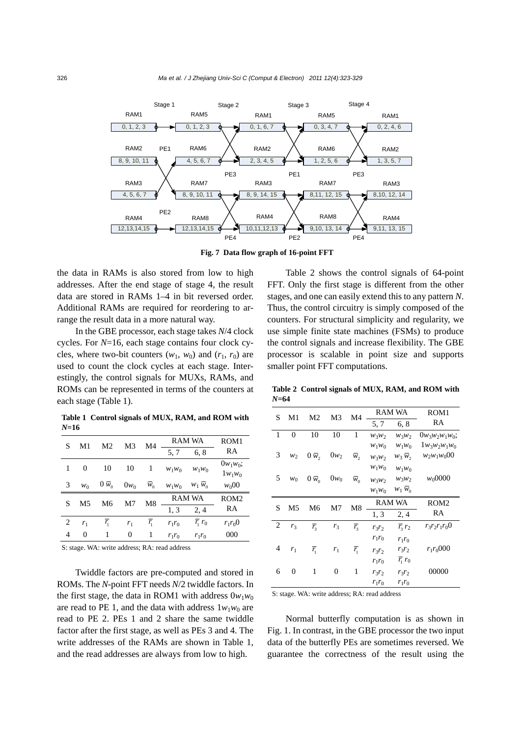

**Fig. 7 Data flow graph of 16-point FFT** 

the data in RAMs is also stored from low to high addresses. After the end stage of stage 4, the result data are stored in RAMs 1–4 in bit reversed order. Additional RAMs are required for reordering to arrange the result data in a more natural way.

In the GBE processor, each stage takes *N*/4 clock cycles. For *N*=16, each stage contains four clock cycles, where two-bit counters  $(w_1, w_0)$  and  $(r_1, r_0)$  are used to count the clock cycles at each stage. Interestingly, the control signals for MUXs, RAMs, and ROMs can be represented in terms of the counters at each stage (Table 1).

**Table 1 Control signals of MUX, RAM, and ROM with**  *N***=16**

| S | M1             | M <sub>2</sub> | M3     | M4               | <b>RAM WA</b> |                        | ROM <sub>1</sub> |
|---|----------------|----------------|--------|------------------|---------------|------------------------|------------------|
|   |                |                |        |                  | 5, 7          | 6, 8                   | RA               |
| 1 | $\theta$       | 10             | 10     | 1                | $W_1W_0$      | $W_1W_0$               | $0w_1w_0;$       |
|   |                |                |        |                  |               |                        | $1w_1w_0$        |
| 3 | $w_0$          | $0 \bar{w}_0$  | $0w_0$ | $\overline{w}_0$ | $W_1W_0$      | $W_1 W_0$              | $w_000$          |
| S | M5             | M6             | M7     | M8               | <b>RAM WA</b> |                        | ROM <sub>2</sub> |
|   |                |                |        |                  | 1, 3          | 2, 4                   | RA               |
| 2 | r <sub>1</sub> | $r_{1}$        | $r_1$  | $r_{1}$          | $r_1r_0$      | $\overline{r_1}$ $r_0$ | $r_1r_00$        |
| 4 | 0              | 1              | 0      | 1                | $r_1r_0$      | $r_1r_0$               | 000              |
|   |                |                |        |                  |               |                        |                  |

S: stage. WA: write address; RA: read address

Twiddle factors are pre-computed and stored in ROMs. The *N*-point FFT needs *N*/2 twiddle factors. In the first stage, the data in ROM1 with address  $0w_1w_0$ are read to PE 1, and the data with address  $1w_1w_0$  are read to PE 2. PEs 1 and 2 share the same twiddle factor after the first stage, as well as PEs 3 and 4. The write addresses of the RAMs are shown in Table 1, and the read addresses are always from low to high.

Table 2 shows the control signals of 64-point FFT. Only the first stage is different from the other stages, and one can easily extend this to any pattern *N*. Thus, the control circuitry is simply composed of the counters. For structural simplicity and regularity, we use simple finite state machines (FSMs) to produce the control signals and increase flexibility. The GBE processor is scalable in point size and supports smaller point FFT computations.

**Table 2 Control signals of MUX, RAM, and ROM with**  *N***=64**

| S | M1             | M2                 | M <sub>3</sub> | M4                 | RAM WA   |                        | ROM <sub>1</sub>   |
|---|----------------|--------------------|----------------|--------------------|----------|------------------------|--------------------|
|   |                |                    |                |                    | 5, 7     | 6, 8                   | RA                 |
| 1 | $\overline{0}$ | 10                 | 10             | 1                  | $W_3W_2$ | $W_3W_2$               | $0w_3w_2w_1w_0;$   |
|   |                |                    |                |                    | $W_1W_0$ | $W_1W_0$               | $1_{W_3W_2W_1W_0}$ |
| 3 | W <sub>2</sub> | $0 \bar{w}_2$      | $0w_2$         | $\overline{w},$    | $W_3W_2$ | $w_3\bar{w}_2$         | $w_2w_1w_000$      |
|   |                |                    |                |                    | $W_1W_0$ | $W_1W_0$               |                    |
| 5 | $w_0$          | $0 \bar{w}_0$      | $0w_0$         | $\overline{w}_0$   | $W_3W_2$ | $W_3W_2$               | $w_0 0000$         |
|   |                |                    |                |                    | $W_1W_0$ | $w_1 w_0$              |                    |
|   |                |                    |                |                    |          |                        |                    |
|   |                |                    |                |                    |          | <b>RAM WA</b>          | ROM <sub>2</sub>   |
| S | M <sub>5</sub> | M6                 | M7             | M8                 | 1, 3     | 2, 4                   | RA                 |
| 2 | r <sub>3</sub> | $\overline{r}_{3}$ | $r_3$          | $\overline{r}_3$   | $r_3r_2$ | $\overline{r}_3$ $r_2$ | $r_3r_2r_1r_00$    |
|   |                |                    |                |                    | $r_1r_0$ | $r_1r_0$               |                    |
| 4 | $r_1$          | $\overline{r_{1}}$ | $r_1$          | $\overline{r_{1}}$ | $r_3r_2$ | $r_3r_2$               | $r_1r_0000$        |
|   |                |                    |                |                    | $r_1r_0$ | $\overline{r_1}$ $r_0$ |                    |
| 6 | $\mathbf{0}$   | 1                  | 0              | 1                  | $r_3r_2$ | $r_3r_2$               | 00000              |

S: stage. WA: write address; RA: read address

Normal butterfly computation is as shown in Fig. 1. In contrast, in the GBE processor the two input data of the butterfly PEs are sometimes reversed. We guarantee the correctness of the result using the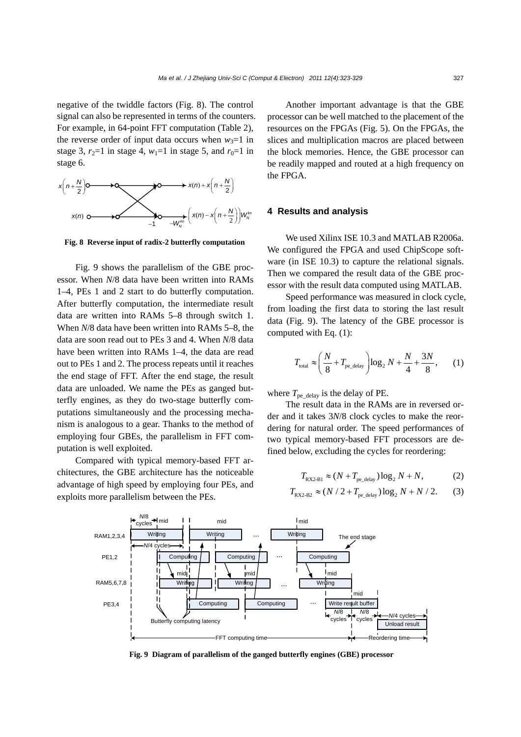negative of the twiddle factors (Fig. 8). The control signal can also be represented in terms of the counters. For example, in 64-point FFT computation (Table 2), the reverse order of input data occurs when  $w_3=1$  in stage 3,  $r_2=1$  in stage 4,  $w_1=1$  in stage 5, and  $r_0=1$  in stage 6.



**Fig. 8 Reverse input of radix-2 butterfly computation**

Fig. 9 shows the parallelism of the GBE processor. When *N*/8 data have been written into RAMs 1–4, PEs 1 and 2 start to do butterfly computation. After butterfly computation, the intermediate result data are written into RAMs 5–8 through switch 1. When *N*/8 data have been written into RAMs 5–8, the data are soon read out to PEs 3 and 4. When *N*/8 data have been written into RAMs 1–4, the data are read out to PEs 1 and 2. The process repeats until it reaches the end stage of FFT. After the end stage, the result data are unloaded. We name the PEs as ganged butterfly engines, as they do two-stage butterfly computations simultaneously and the processing mechanism is analogous to a gear. Thanks to the method of employing four GBEs, the parallelism in FFT computation is well exploited.

Compared with typical memory-based FFT architectures, the GBE architecture has the noticeable advantage of high speed by employing four PEs, and exploits more parallelism between the PEs.

Another important advantage is that the GBE processor can be well matched to the placement of the resources on the FPGAs (Fig. 5). On the FPGAs, the slices and multiplication macros are placed between the block memories. Hence, the GBE processor can be readily mapped and routed at a high frequency on the FPGA.

## **4 Results and analysis**

We used Xilinx ISE 10.3 and MATLAB R2006a. We configured the FPGA and used ChipScope software (in ISE 10.3) to capture the relational signals. Then we compared the result data of the GBE processor with the result data computed using MATLAB.

Speed performance was measured in clock cycle, from loading the first data to storing the last result data (Fig. 9). The latency of the GBE processor is computed with Eq. (1):

$$
T_{\text{total}} \approx \left(\frac{N}{8} + T_{\text{pe\_delay}}\right) \log_2 N + \frac{N}{4} + \frac{3N}{8},\qquad(1)
$$

where  $T_{pe\_delay}$  is the delay of PE.

The result data in the RAMs are in reversed order and it takes 3*N*/8 clock cycles to make the reordering for natural order. The speed performances of two typical memory-based FFT processors are defined below, excluding the cycles for reordering:

$$
T_{\text{RX2-B1}} \approx (N + T_{\text{pe\_delay}}) \log_2 N + N,\tag{2}
$$

$$
T_{\text{RX2-B2}} \approx (N/2 + T_{\text{pe\_delay}}) \log_2 N + N/2. \tag{3}
$$



**Fig. 9 Diagram of parallelism of the ganged butterfly engines (GBE) processor**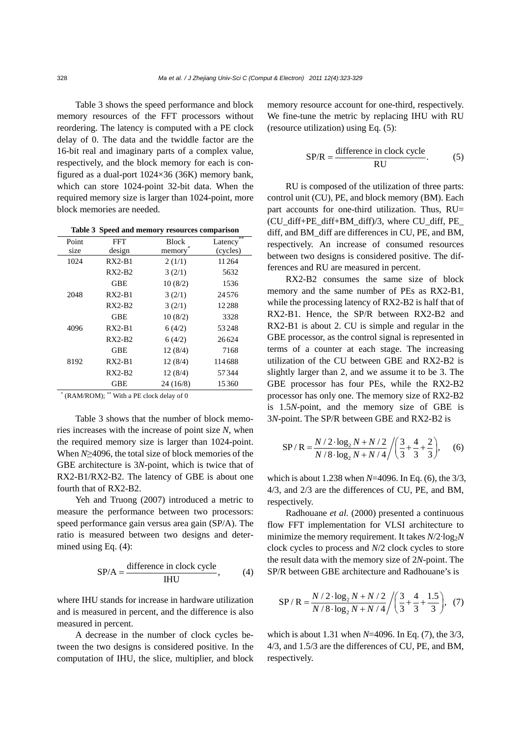Table 3 shows the speed performance and block memory resources of the FFT processors without reordering. The latency is computed with a PE clock delay of 0. The data and the twiddle factor are the 16-bit real and imaginary parts of a complex value, respectively, and the block memory for each is configured as a dual-port 1024×36 (36K) memory bank, which can store 1024-point 32-bit data. When the required memory size is larger than 1024-point, more block memories are needed.

**Table 3 Speed and memory resources comparison** 

| Point | FFT        | <b>Block</b> | **<br>Latency |
|-------|------------|--------------|---------------|
| size  | design     | memory       | (cycles)      |
| 1024  | $RX2-B1$   | 2(1/1)       | 11264         |
|       | $RX2-B2$   | 3(2/1)       | 5632          |
|       | <b>GBE</b> | 10(8/2)      | 1536          |
| 2048  | $RX2-B1$   | 3(2/1)       | 24576         |
|       | $RX2-B2$   | 3(2/1)       | 12288         |
|       | GBE        | 10(8/2)      | 3328          |
| 4096  | $RX2-B1$   | 6(4/2)       | 53248         |
|       | $RX2-B2$   | 6(4/2)       | 26624         |
|       | <b>GBE</b> | 12(8/4)      | 7168          |
| 8192  | $RX2-B1$   | 12(8/4)      | 114688        |
|       | RX2-B2     | 12(8/4)      | 57344         |
|       | <b>GBE</b> | 24(16/8)     | 15360         |
|       |            |              |               |

\* (RAM/ROM); \*\* With a PE clock delay of 0

Table 3 shows that the number of block memories increases with the increase of point size *N*, when the required memory size is larger than 1024-point. When *N*≥4096, the total size of block memories of the GBE architecture is 3*N*-point, which is twice that of RX2-B1/RX2-B2. The latency of GBE is about one fourth that of RX2-B2.

Yeh and Truong (2007) introduced a metric to measure the performance between two processors: speed performance gain versus area gain (SP/A). The ratio is measured between two designs and determined using Eq. (4):

$$
SP/A = \frac{\text{difference in clock cycle}}{\text{IHU}}, \quad (4)
$$

where IHU stands for increase in hardware utilization and is measured in percent, and the difference is also measured in percent.

A decrease in the number of clock cycles between the two designs is considered positive. In the computation of IHU, the slice, multiplier, and block memory resource account for one-third, respectively. We fine-tune the metric by replacing IHU with RU (resource utilization) using Eq. (5):

$$
SP/R = \frac{\text{difference in clock cycle}}{\text{RU}}.\tag{5}
$$

RU is composed of the utilization of three parts: control unit (CU), PE, and block memory (BM). Each part accounts for one-third utilization. Thus, RU= (CU\_diff+PE\_diff+BM\_diff)/3, where CU\_diff, PE diff, and BM\_diff are differences in CU, PE, and BM, respectively. An increase of consumed resources between two designs is considered positive. The differences and RU are measured in percent.

RX2-B2 consumes the same size of block memory and the same number of PEs as RX2-B1, while the processing latency of RX2-B2 is half that of RX2-B1. Hence, the SP/R between RX2-B2 and RX2-B1 is about 2. CU is simple and regular in the GBE processor, as the control signal is represented in terms of a counter at each stage. The increasing utilization of the CU between GBE and RX2-B2 is slightly larger than 2, and we assume it to be 3. The GBE processor has four PEs, while the RX2-B2 processor has only one. The memory size of RX2-B2 is 1.5*N*-point, and the memory size of GBE is 3*N*-point. The SP/R between GBE and RX2-B2 is

$$
SP/R = \frac{N/2 \cdot \log_2 N + N/2}{N/8 \cdot \log_2 N + N/4} / \left(\frac{3}{3} + \frac{4}{3} + \frac{2}{3}\right),
$$
 (6)

which is about 1.238 when *N*=4096. In Eq. (6), the 3/3, 4/3, and 2/3 are the differences of CU, PE, and BM, respectively.

Radhouane *et al.* (2000) presented a continuous flow FFT implementation for VLSI architecture to minimize the memory requirement. It takes  $N/2$ ·log<sub>2</sub> $N$ clock cycles to process and *N*/2 clock cycles to store the result data with the memory size of 2*N*-point. The SP/R between GBE architecture and Radhouane's is

$$
SP/R = \frac{N/2 \cdot \log_2 N + N/2}{N/8 \cdot \log_2 N + N/4} / \left(\frac{3}{3} + \frac{4}{3} + \frac{1.5}{3}\right), (7)
$$

which is about 1.31 when *N*=4096. In Eq. (7), the 3/3, 4/3, and 1.5/3 are the differences of CU, PE, and BM, respectively.